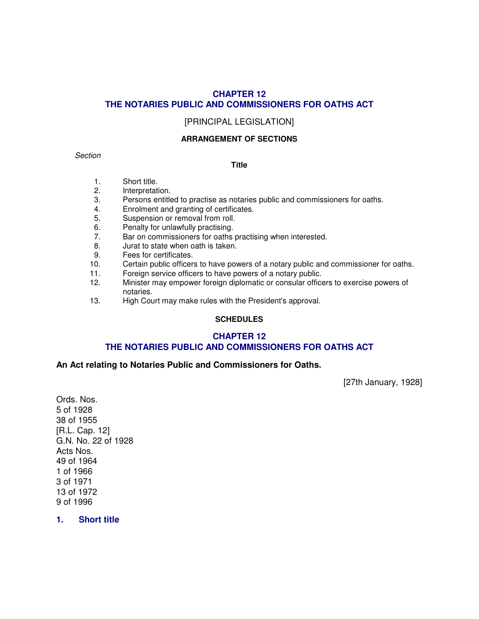# **CHAPTER 12 THE NOTARIES PUBLIC AND COMMISSIONERS FOR OATHS ACT**

# [PRINCIPAL LEGISLATION]

### **ARRANGEMENT OF SECTIONS**

# **Section**

#### **Title**

- 1. Short title.
- 2. Interpretation.
- 3. Persons entitled to practise as notaries public and commissioners for oaths.
- 4. Enrolment and granting of certificates.<br>5. Suspension or removal from roll.
- Suspension or removal from roll.
- 6. Penalty for unlawfully practising.
- 7. Bar on commissioners for oaths practising when interested.
- 8. Jurat to state when oath is taken.
- 9. Fees for certificates.
- 10. Certain public officers to have powers of a notary public and commissioner for oaths.
- 11. Foreign service officers to have powers of a notary public.
- 12. Minister may empower foreign diplomatic or consular officers to exercise powers of notaries.
- 13. High Court may make rules with the President's approval.

### **SCHEDULES**

# **CHAPTER 12 THE NOTARIES PUBLIC AND COMMISSIONERS FOR OATHS ACT**

### **An Act relating to Notaries Public and Commissioners for Oaths.**

[27th January, 1928]

Ords. Nos. 5 of 1928 38 of 1955 [R.L. Cap. 12] G.N. No. 22 of 1928 Acts Nos. 49 of 1964 1 of 1966 3 of 1971 13 of 1972 9 of 1996

### **1. Short title**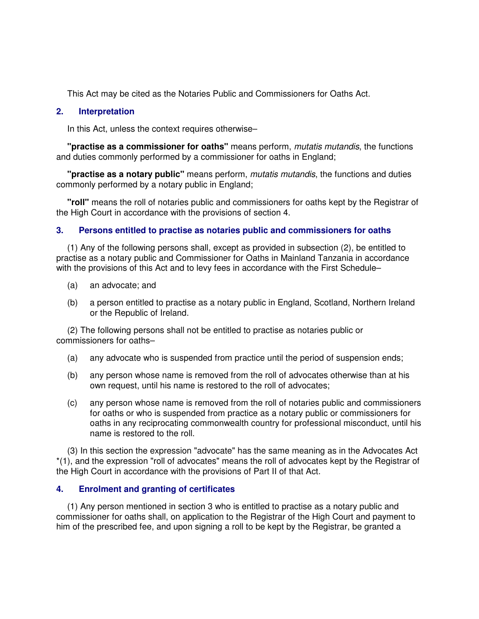This Act may be cited as the Notaries Public and Commissioners for Oaths Act.

# **2. Interpretation**

In this Act, unless the context requires otherwise–

 **"practise as a commissioner for oaths"** means perform, mutatis mutandis, the functions and duties commonly performed by a commissioner for oaths in England;

 **"practise as a notary public"** means perform, mutatis mutandis, the functions and duties commonly performed by a notary public in England;

 **"roll"** means the roll of notaries public and commissioners for oaths kept by the Registrar of the High Court in accordance with the provisions of section 4.

# **3. Persons entitled to practise as notaries public and commissioners for oaths**

 (1) Any of the following persons shall, except as provided in subsection (2), be entitled to practise as a notary public and Commissioner for Oaths in Mainland Tanzania in accordance with the provisions of this Act and to levy fees in accordance with the First Schedule–

- (a) an advocate; and
- (b) a person entitled to practise as a notary public in England, Scotland, Northern Ireland or the Republic of Ireland.

 (2) The following persons shall not be entitled to practise as notaries public or commissioners for oaths–

- (a) any advocate who is suspended from practice until the period of suspension ends;
- (b) any person whose name is removed from the roll of advocates otherwise than at his own request, until his name is restored to the roll of advocates;
- (c) any person whose name is removed from the roll of notaries public and commissioners for oaths or who is suspended from practice as a notary public or commissioners for oaths in any reciprocating commonwealth country for professional misconduct, until his name is restored to the roll.

 (3) In this section the expression "advocate" has the same meaning as in the Advocates Act \*(1), and the expression "roll of advocates" means the roll of advocates kept by the Registrar of the High Court in accordance with the provisions of Part II of that Act.

# **4. Enrolment and granting of certificates**

 (1) Any person mentioned in section 3 who is entitled to practise as a notary public and commissioner for oaths shall, on application to the Registrar of the High Court and payment to him of the prescribed fee, and upon signing a roll to be kept by the Registrar, be granted a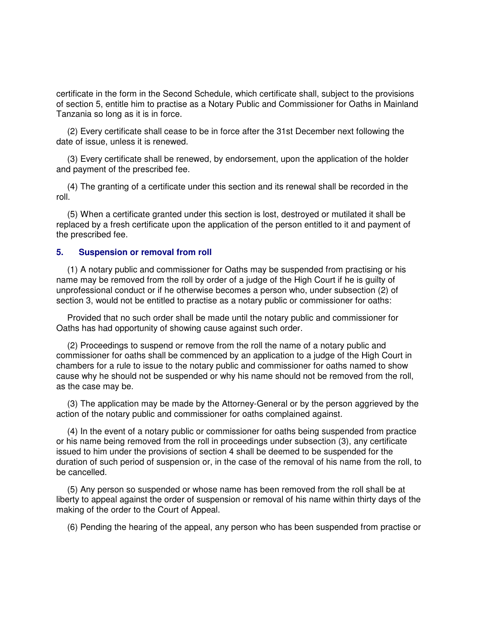certificate in the form in the Second Schedule, which certificate shall, subject to the provisions of section 5, entitle him to practise as a Notary Public and Commissioner for Oaths in Mainland Tanzania so long as it is in force.

 (2) Every certificate shall cease to be in force after the 31st December next following the date of issue, unless it is renewed.

 (3) Every certificate shall be renewed, by endorsement, upon the application of the holder and payment of the prescribed fee.

 (4) The granting of a certificate under this section and its renewal shall be recorded in the roll.

 (5) When a certificate granted under this section is lost, destroyed or mutilated it shall be replaced by a fresh certificate upon the application of the person entitled to it and payment of the prescribed fee.

#### **5. Suspension or removal from roll**

 (1) A notary public and commissioner for Oaths may be suspended from practising or his name may be removed from the roll by order of a judge of the High Court if he is guilty of unprofessional conduct or if he otherwise becomes a person who, under subsection (2) of section 3, would not be entitled to practise as a notary public or commissioner for oaths:

 Provided that no such order shall be made until the notary public and commissioner for Oaths has had opportunity of showing cause against such order.

 (2) Proceedings to suspend or remove from the roll the name of a notary public and commissioner for oaths shall be commenced by an application to a judge of the High Court in chambers for a rule to issue to the notary public and commissioner for oaths named to show cause why he should not be suspended or why his name should not be removed from the roll, as the case may be.

 (3) The application may be made by the Attorney-General or by the person aggrieved by the action of the notary public and commissioner for oaths complained against.

 (4) In the event of a notary public or commissioner for oaths being suspended from practice or his name being removed from the roll in proceedings under subsection (3), any certificate issued to him under the provisions of section 4 shall be deemed to be suspended for the duration of such period of suspension or, in the case of the removal of his name from the roll, to be cancelled.

 (5) Any person so suspended or whose name has been removed from the roll shall be at liberty to appeal against the order of suspension or removal of his name within thirty days of the making of the order to the Court of Appeal.

(6) Pending the hearing of the appeal, any person who has been suspended from practise or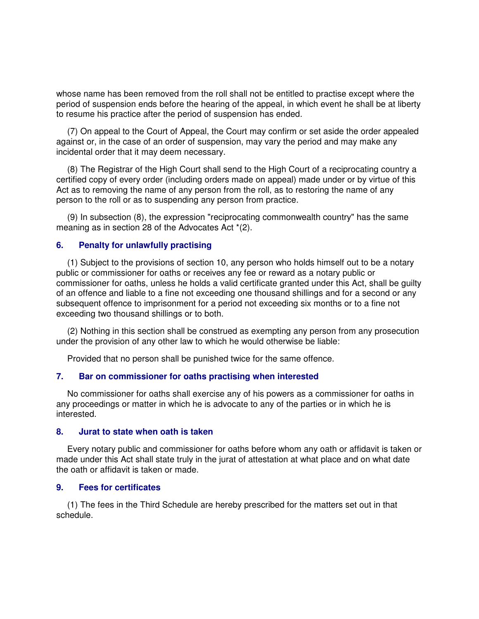whose name has been removed from the roll shall not be entitled to practise except where the period of suspension ends before the hearing of the appeal, in which event he shall be at liberty to resume his practice after the period of suspension has ended.

 (7) On appeal to the Court of Appeal, the Court may confirm or set aside the order appealed against or, in the case of an order of suspension, may vary the period and may make any incidental order that it may deem necessary.

 (8) The Registrar of the High Court shall send to the High Court of a reciprocating country a certified copy of every order (including orders made on appeal) made under or by virtue of this Act as to removing the name of any person from the roll, as to restoring the name of any person to the roll or as to suspending any person from practice.

 (9) In subsection (8), the expression "reciprocating commonwealth country" has the same meaning as in section 28 of the Advocates Act \*(2).

### **6. Penalty for unlawfully practising**

 (1) Subject to the provisions of section 10, any person who holds himself out to be a notary public or commissioner for oaths or receives any fee or reward as a notary public or commissioner for oaths, unless he holds a valid certificate granted under this Act, shall be guilty of an offence and liable to a fine not exceeding one thousand shillings and for a second or any subsequent offence to imprisonment for a period not exceeding six months or to a fine not exceeding two thousand shillings or to both.

 (2) Nothing in this section shall be construed as exempting any person from any prosecution under the provision of any other law to which he would otherwise be liable:

Provided that no person shall be punished twice for the same offence.

#### **7. Bar on commissioner for oaths practising when interested**

 No commissioner for oaths shall exercise any of his powers as a commissioner for oaths in any proceedings or matter in which he is advocate to any of the parties or in which he is interested.

#### **8. Jurat to state when oath is taken**

 Every notary public and commissioner for oaths before whom any oath or affidavit is taken or made under this Act shall state truly in the jurat of attestation at what place and on what date the oath or affidavit is taken or made.

### **9. Fees for certificates**

 (1) The fees in the Third Schedule are hereby prescribed for the matters set out in that schedule.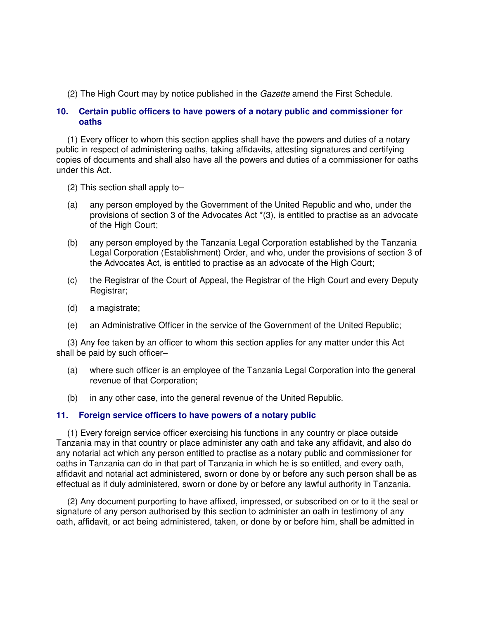(2) The High Court may by notice published in the Gazette amend the First Schedule.

# **10. Certain public officers to have powers of a notary public and commissioner for oaths**

 (1) Every officer to whom this section applies shall have the powers and duties of a notary public in respect of administering oaths, taking affidavits, attesting signatures and certifying copies of documents and shall also have all the powers and duties of a commissioner for oaths under this Act.

- (2) This section shall apply to–
- (a) any person employed by the Government of the United Republic and who, under the provisions of section 3 of the Advocates Act \*(3), is entitled to practise as an advocate of the High Court;
- (b) any person employed by the Tanzania Legal Corporation established by the Tanzania Legal Corporation (Establishment) Order, and who, under the provisions of section 3 of the Advocates Act, is entitled to practise as an advocate of the High Court;
- (c) the Registrar of the Court of Appeal, the Registrar of the High Court and every Deputy Registrar;
- (d) a magistrate;
- (e) an Administrative Officer in the service of the Government of the United Republic;

 (3) Any fee taken by an officer to whom this section applies for any matter under this Act shall be paid by such officer–

- (a) where such officer is an employee of the Tanzania Legal Corporation into the general revenue of that Corporation;
- (b) in any other case, into the general revenue of the United Republic.

# **11. Foreign service officers to have powers of a notary public**

 (1) Every foreign service officer exercising his functions in any country or place outside Tanzania may in that country or place administer any oath and take any affidavit, and also do any notarial act which any person entitled to practise as a notary public and commissioner for oaths in Tanzania can do in that part of Tanzania in which he is so entitled, and every oath, affidavit and notarial act administered, sworn or done by or before any such person shall be as effectual as if duly administered, sworn or done by or before any lawful authority in Tanzania.

 (2) Any document purporting to have affixed, impressed, or subscribed on or to it the seal or signature of any person authorised by this section to administer an oath in testimony of any oath, affidavit, or act being administered, taken, or done by or before him, shall be admitted in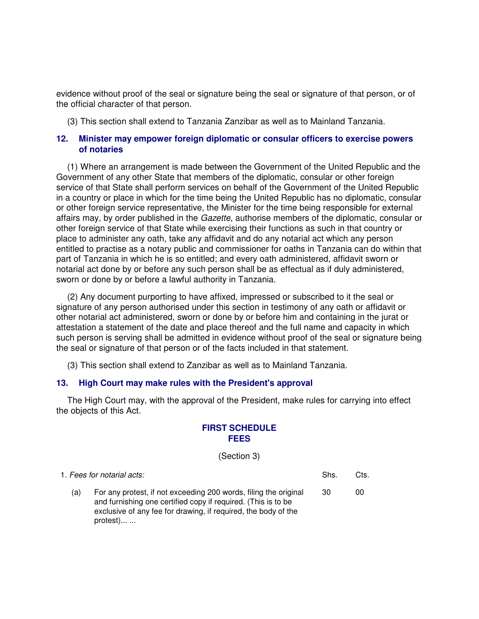evidence without proof of the seal or signature being the seal or signature of that person, or of the official character of that person.

(3) This section shall extend to Tanzania Zanzibar as well as to Mainland Tanzania.

# **12. Minister may empower foreign diplomatic or consular officers to exercise powers of notaries**

 (1) Where an arrangement is made between the Government of the United Republic and the Government of any other State that members of the diplomatic, consular or other foreign service of that State shall perform services on behalf of the Government of the United Republic in a country or place in which for the time being the United Republic has no diplomatic, consular or other foreign service representative, the Minister for the time being responsible for external affairs may, by order published in the *Gazette*, authorise members of the diplomatic, consular or other foreign service of that State while exercising their functions as such in that country or place to administer any oath, take any affidavit and do any notarial act which any person entitled to practise as a notary public and commissioner for oaths in Tanzania can do within that part of Tanzania in which he is so entitled; and every oath administered, affidavit sworn or notarial act done by or before any such person shall be as effectual as if duly administered, sworn or done by or before a lawful authority in Tanzania.

 (2) Any document purporting to have affixed, impressed or subscribed to it the seal or signature of any person authorised under this section in testimony of any oath or affidavit or other notarial act administered, sworn or done by or before him and containing in the jurat or attestation a statement of the date and place thereof and the full name and capacity in which such person is serving shall be admitted in evidence without proof of the seal or signature being the seal or signature of that person or of the facts included in that statement.

(3) This section shall extend to Zanzibar as well as to Mainland Tanzania.

### **13. High Court may make rules with the President's approval**

 The High Court may, with the approval of the President, make rules for carrying into effect the objects of this Act.

# **FIRST SCHEDULE FEES**

#### (Section 3)

| 1. Fees for notarial acts. |                                                                                                                                                                                                                 | Shs. | Cts. |
|----------------------------|-----------------------------------------------------------------------------------------------------------------------------------------------------------------------------------------------------------------|------|------|
| (a)                        | For any protest, if not exceeding 200 words, filing the original<br>and furnishing one certified copy if required. (This is to be<br>exclusive of any fee for drawing, if required, the body of the<br>protest) | -30  | 00   |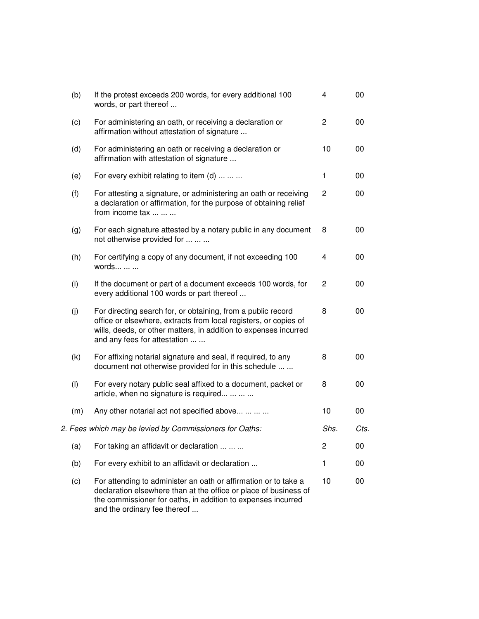| (b) | If the protest exceeds 200 words, for every additional 100<br>words, or part thereof                                                                                                                                                 | 4              | 00   |
|-----|--------------------------------------------------------------------------------------------------------------------------------------------------------------------------------------------------------------------------------------|----------------|------|
| (c) | For administering an oath, or receiving a declaration or<br>affirmation without attestation of signature                                                                                                                             | $\overline{c}$ | 00   |
| (d) | For administering an oath or receiving a declaration or<br>affirmation with attestation of signature                                                                                                                                 | 10             | 00   |
| (e) | For every exhibit relating to item (d)                                                                                                                                                                                               | 1              | 00   |
| (f) | For attesting a signature, or administering an oath or receiving<br>a declaration or affirmation, for the purpose of obtaining relief<br>from income tax                                                                             | $\overline{c}$ | 00   |
| (g) | For each signature attested by a notary public in any document<br>not otherwise provided for                                                                                                                                         | 8              | 00   |
| (h) | For certifying a copy of any document, if not exceeding 100<br>words                                                                                                                                                                 | 4              | 00   |
| (i) | If the document or part of a document exceeds 100 words, for<br>every additional 100 words or part thereof                                                                                                                           | $\overline{c}$ | 00   |
| (j) | For directing search for, or obtaining, from a public record<br>office or elsewhere, extracts from local registers, or copies of<br>wills, deeds, or other matters, in addition to expenses incurred<br>and any fees for attestation | 8              | 00   |
| (k) | For affixing notarial signature and seal, if required, to any<br>document not otherwise provided for in this schedule                                                                                                                | 8              | 00   |
| (1) | For every notary public seal affixed to a document, packet or<br>article, when no signature is required                                                                                                                              | 8              | 00   |
| (m) | Any other notarial act not specified above                                                                                                                                                                                           | 10             | 00   |
|     | 2. Fees which may be levied by Commissioners for Oaths:                                                                                                                                                                              | Shs.           | Cts. |
| (a) | For taking an affidavit or declaration                                                                                                                                                                                               | 2              | 00   |
| (b) | For every exhibit to an affidavit or declaration                                                                                                                                                                                     | 1              | 00   |
| (c) | For attending to administer an oath or affirmation or to take a<br>declaration elsewhere than at the office or place of business of<br>the commissioner for oaths, in addition to expenses incurred<br>and the ordinary fee thereof  | 10             | 00   |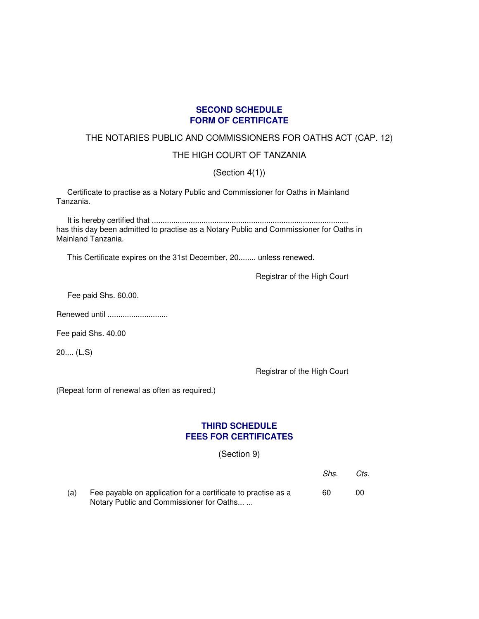# **SECOND SCHEDULE FORM OF CERTIFICATE**

# THE NOTARIES PUBLIC AND COMMISSIONERS FOR OATHS ACT (CAP. 12)

# THE HIGH COURT OF TANZANIA

(Section 4(1))

 Certificate to practise as a Notary Public and Commissioner for Oaths in Mainland Tanzania.

 It is hereby certified that ........................................................................................... has this day been admitted to practise as a Notary Public and Commissioner for Oaths in Mainland Tanzania.

This Certificate expires on the 31st December, 20........ unless renewed.

Registrar of the High Court

Fee paid Shs. 60.00.

Renewed until .............................

Fee paid Shs. 40.00

20.... (L.S)

Registrar of the High Court

(Repeat form of renewal as often as required.)

# **THIRD SCHEDULE FEES FOR CERTIFICATES**

(Section 9)

|     |                                                                                                           | Shs. | Cts. |
|-----|-----------------------------------------------------------------------------------------------------------|------|------|
| (a) | Fee payable on application for a certificate to practise as a<br>Notary Public and Commissioner for Oaths | 60   | 00   |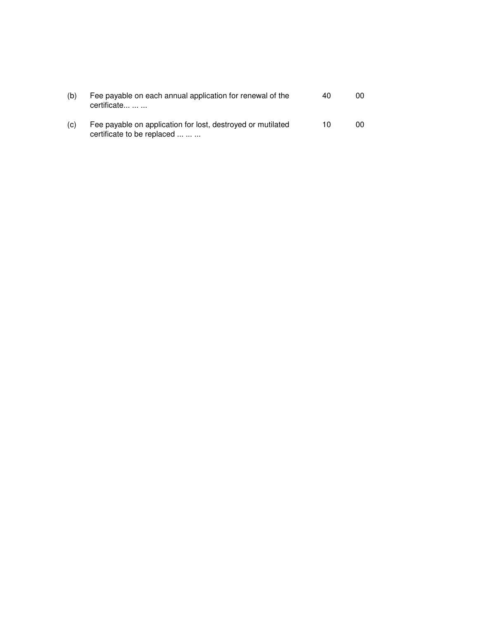| (b) | Fee payable on each annual application for renewal of the<br>certificate                  | 40 | იი |
|-----|-------------------------------------------------------------------------------------------|----|----|
| (C) | Fee payable on application for lost, destroyed or mutilated<br>certificate to be replaced | 10 | 00 |